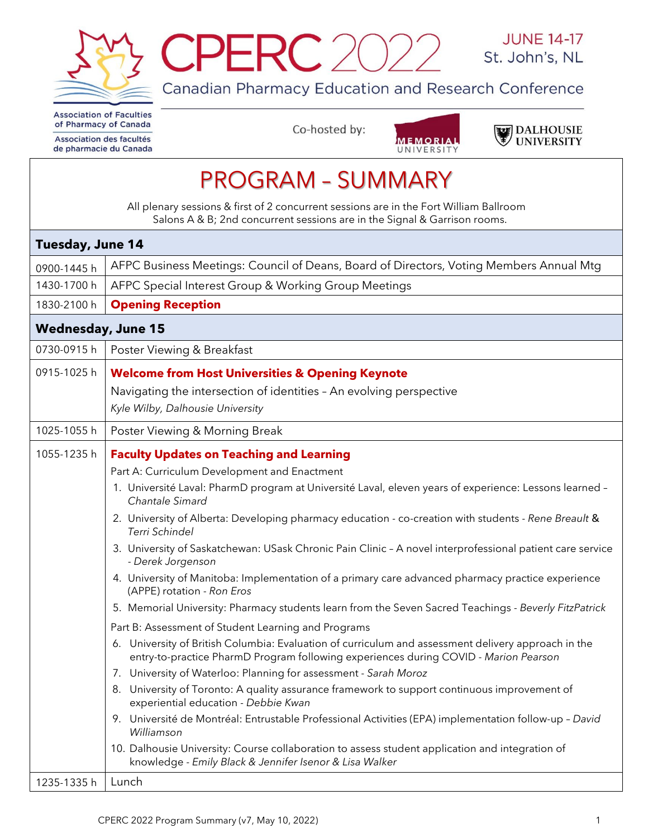



Canadian Pharmacy Education and Research Conference

**Association of Faculties** of Pharmacy of Canada

Association des facultés de pharmacie du Canada Co-hosted by:





| <b>PROGRAM - SUMMARY</b>                                                                                                                                                                       |                                                                                                                                                                                                                                                                                                                                                                                                                                                                                                                                                                                                                                                                                                                                                                                                                                                                                                                                                                                                                                                                                                                                                                                                                                                                                                                                                                                                                                                                                             |  |  |  |
|------------------------------------------------------------------------------------------------------------------------------------------------------------------------------------------------|---------------------------------------------------------------------------------------------------------------------------------------------------------------------------------------------------------------------------------------------------------------------------------------------------------------------------------------------------------------------------------------------------------------------------------------------------------------------------------------------------------------------------------------------------------------------------------------------------------------------------------------------------------------------------------------------------------------------------------------------------------------------------------------------------------------------------------------------------------------------------------------------------------------------------------------------------------------------------------------------------------------------------------------------------------------------------------------------------------------------------------------------------------------------------------------------------------------------------------------------------------------------------------------------------------------------------------------------------------------------------------------------------------------------------------------------------------------------------------------------|--|--|--|
| All plenary sessions & first of 2 concurrent sessions are in the Fort William Ballroom<br>Salons A & B; 2nd concurrent sessions are in the Signal & Garrison rooms.<br><b>Tuesday, June 14</b> |                                                                                                                                                                                                                                                                                                                                                                                                                                                                                                                                                                                                                                                                                                                                                                                                                                                                                                                                                                                                                                                                                                                                                                                                                                                                                                                                                                                                                                                                                             |  |  |  |
|                                                                                                                                                                                                |                                                                                                                                                                                                                                                                                                                                                                                                                                                                                                                                                                                                                                                                                                                                                                                                                                                                                                                                                                                                                                                                                                                                                                                                                                                                                                                                                                                                                                                                                             |  |  |  |
| 1430-1700 h                                                                                                                                                                                    | AFPC Special Interest Group & Working Group Meetings                                                                                                                                                                                                                                                                                                                                                                                                                                                                                                                                                                                                                                                                                                                                                                                                                                                                                                                                                                                                                                                                                                                                                                                                                                                                                                                                                                                                                                        |  |  |  |
| 1830-2100 h                                                                                                                                                                                    | <b>Opening Reception</b>                                                                                                                                                                                                                                                                                                                                                                                                                                                                                                                                                                                                                                                                                                                                                                                                                                                                                                                                                                                                                                                                                                                                                                                                                                                                                                                                                                                                                                                                    |  |  |  |
| <b>Wednesday, June 15</b>                                                                                                                                                                      |                                                                                                                                                                                                                                                                                                                                                                                                                                                                                                                                                                                                                                                                                                                                                                                                                                                                                                                                                                                                                                                                                                                                                                                                                                                                                                                                                                                                                                                                                             |  |  |  |
| 0730-0915h                                                                                                                                                                                     | Poster Viewing & Breakfast                                                                                                                                                                                                                                                                                                                                                                                                                                                                                                                                                                                                                                                                                                                                                                                                                                                                                                                                                                                                                                                                                                                                                                                                                                                                                                                                                                                                                                                                  |  |  |  |
| 0915-1025h                                                                                                                                                                                     | <b>Welcome from Host Universities &amp; Opening Keynote</b>                                                                                                                                                                                                                                                                                                                                                                                                                                                                                                                                                                                                                                                                                                                                                                                                                                                                                                                                                                                                                                                                                                                                                                                                                                                                                                                                                                                                                                 |  |  |  |
|                                                                                                                                                                                                | Navigating the intersection of identities - An evolving perspective                                                                                                                                                                                                                                                                                                                                                                                                                                                                                                                                                                                                                                                                                                                                                                                                                                                                                                                                                                                                                                                                                                                                                                                                                                                                                                                                                                                                                         |  |  |  |
|                                                                                                                                                                                                | Kyle Wilby, Dalhousie University                                                                                                                                                                                                                                                                                                                                                                                                                                                                                                                                                                                                                                                                                                                                                                                                                                                                                                                                                                                                                                                                                                                                                                                                                                                                                                                                                                                                                                                            |  |  |  |
| 1025-1055h                                                                                                                                                                                     | Poster Viewing & Morning Break                                                                                                                                                                                                                                                                                                                                                                                                                                                                                                                                                                                                                                                                                                                                                                                                                                                                                                                                                                                                                                                                                                                                                                                                                                                                                                                                                                                                                                                              |  |  |  |
| 1055-1235h                                                                                                                                                                                     | <b>Faculty Updates on Teaching and Learning</b><br>Part A: Curriculum Development and Enactment<br>1. Université Laval: PharmD program at Université Laval, eleven years of experience: Lessons learned -<br>Chantale Simard<br>2. University of Alberta: Developing pharmacy education - co-creation with students - Rene Breault &<br>Terri Schindel<br>3. University of Saskatchewan: USask Chronic Pain Clinic - A novel interprofessional patient care service<br>- Derek Jorgenson<br>4. University of Manitoba: Implementation of a primary care advanced pharmacy practice experience<br>(APPE) rotation - Ron Eros<br>5. Memorial University: Pharmacy students learn from the Seven Sacred Teachings - Beverly FitzPatrick<br>Part B: Assessment of Student Learning and Programs<br>6. University of British Columbia: Evaluation of curriculum and assessment delivery approach in the<br>entry-to-practice PharmD Program following experiences during COVID - Marion Pearson<br>7. University of Waterloo: Planning for assessment - Sarah Moroz<br>8. University of Toronto: A quality assurance framework to support continuous improvement of<br>experiential education - Debbie Kwan<br>9. Université de Montréal: Entrustable Professional Activities (EPA) implementation follow-up - David<br>Williamson<br>10. Dalhousie University: Course collaboration to assess student application and integration of<br>knowledge - Emily Black & Jennifer Isenor & Lisa Walker |  |  |  |
| 1235-1335h                                                                                                                                                                                     | Lunch                                                                                                                                                                                                                                                                                                                                                                                                                                                                                                                                                                                                                                                                                                                                                                                                                                                                                                                                                                                                                                                                                                                                                                                                                                                                                                                                                                                                                                                                                       |  |  |  |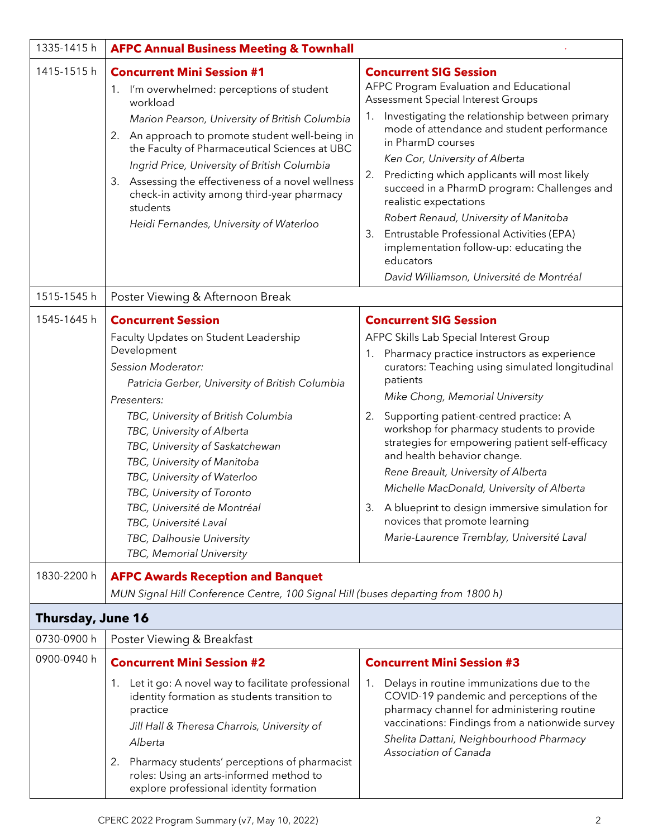| 1335-1415h        | <b>AFPC Annual Business Meeting &amp; Townhall</b>                                                                                                                                                                                                                                                                                                                                                                                                                                             |                                                                                                                                                                                                                                                                                                                                                                                                                                                                                                                                                                                                                                      |
|-------------------|------------------------------------------------------------------------------------------------------------------------------------------------------------------------------------------------------------------------------------------------------------------------------------------------------------------------------------------------------------------------------------------------------------------------------------------------------------------------------------------------|--------------------------------------------------------------------------------------------------------------------------------------------------------------------------------------------------------------------------------------------------------------------------------------------------------------------------------------------------------------------------------------------------------------------------------------------------------------------------------------------------------------------------------------------------------------------------------------------------------------------------------------|
| 1415-1515h        | <b>Concurrent Mini Session #1</b><br>1. I'm overwhelmed: perceptions of student<br>workload<br>Marion Pearson, University of British Columbia<br>2. An approach to promote student well-being in<br>the Faculty of Pharmaceutical Sciences at UBC<br>Ingrid Price, University of British Columbia<br>Assessing the effectiveness of a novel wellness<br>3.<br>check-in activity among third-year pharmacy<br>students<br>Heidi Fernandes, University of Waterloo                               | <b>Concurrent SIG Session</b><br>AFPC Program Evaluation and Educational<br>Assessment Special Interest Groups<br>Investigating the relationship between primary<br>1.<br>mode of attendance and student performance<br>in PharmD courses<br>Ken Cor, University of Alberta<br>Predicting which applicants will most likely<br>2.<br>succeed in a PharmD program: Challenges and<br>realistic expectations<br>Robert Renaud, University of Manitoba<br>Entrustable Professional Activities (EPA)<br>3.<br>implementation follow-up: educating the<br>educators<br>David Williamson, Université de Montréal                           |
| 1515-1545h        | Poster Viewing & Afternoon Break                                                                                                                                                                                                                                                                                                                                                                                                                                                               |                                                                                                                                                                                                                                                                                                                                                                                                                                                                                                                                                                                                                                      |
| 1545-1645h        | <b>Concurrent Session</b><br>Faculty Updates on Student Leadership<br>Development<br>Session Moderator:<br>Patricia Gerber, University of British Columbia<br>Presenters:<br>TBC, University of British Columbia<br>TBC, University of Alberta<br>TBC, University of Saskatchewan<br>TBC, University of Manitoba<br>TBC, University of Waterloo<br>TBC, University of Toronto<br>TBC, Université de Montréal<br>TBC, Université Laval<br>TBC, Dalhousie University<br>TBC, Memorial University | <b>Concurrent SIG Session</b><br>AFPC Skills Lab Special Interest Group<br>Pharmacy practice instructors as experience<br>1.<br>curators: Teaching using simulated longitudinal<br>patients<br>Mike Chong, Memorial University<br>Supporting patient-centred practice: A<br>2.<br>workshop for pharmacy students to provide<br>strategies for empowering patient self-efficacy<br>and health behavior change.<br>Rene Breault, University of Alberta<br>Michelle MacDonald, University of Alberta<br>3. A blueprint to design immersive simulation for<br>novices that promote learning<br>Marie-Laurence Tremblay, Université Laval |
| 1830-2200 h       | <b>AFPC Awards Reception and Banquet</b><br>MUN Signal Hill Conference Centre, 100 Signal Hill (buses departing from 1800 h)                                                                                                                                                                                                                                                                                                                                                                   |                                                                                                                                                                                                                                                                                                                                                                                                                                                                                                                                                                                                                                      |
| Thursday, June 16 |                                                                                                                                                                                                                                                                                                                                                                                                                                                                                                |                                                                                                                                                                                                                                                                                                                                                                                                                                                                                                                                                                                                                                      |
| 0730-0900 h       | Poster Viewing & Breakfast                                                                                                                                                                                                                                                                                                                                                                                                                                                                     |                                                                                                                                                                                                                                                                                                                                                                                                                                                                                                                                                                                                                                      |
| 0900-0940 h       | <b>Concurrent Mini Session #2</b><br>1. Let it go: A novel way to facilitate professional<br>identity formation as students transition to<br>practice<br>Jill Hall & Theresa Charrois, University of<br>Alberta<br>Pharmacy students' perceptions of pharmacist<br>2.<br>roles: Using an arts-informed method to<br>explore professional identity formation                                                                                                                                    | <b>Concurrent Mini Session #3</b><br>Delays in routine immunizations due to the<br>1.<br>COVID-19 pandemic and perceptions of the<br>pharmacy channel for administering routine<br>vaccinations: Findings from a nationwide survey<br>Shelita Dattani, Neighbourhood Pharmacy<br>Association of Canada                                                                                                                                                                                                                                                                                                                               |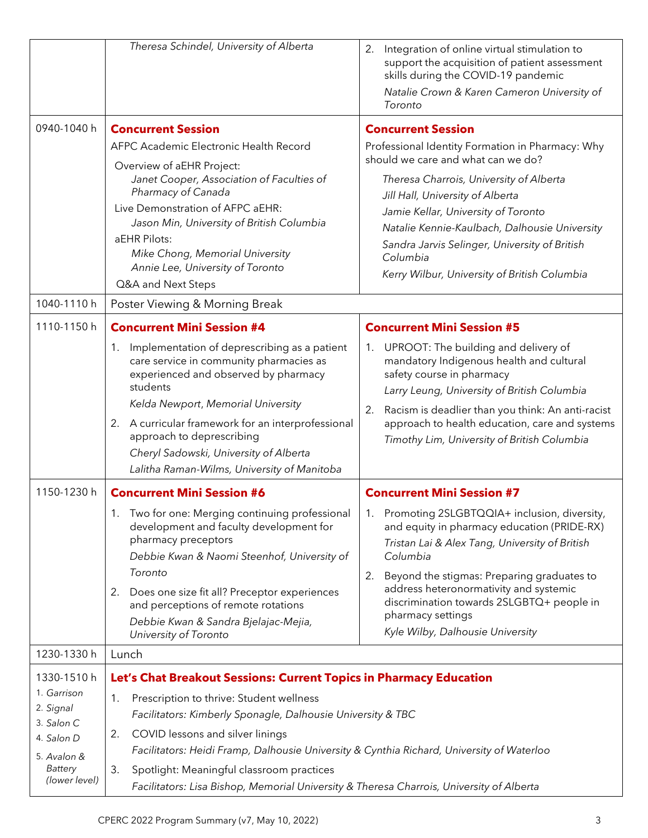|                                                                                                                       | Theresa Schindel, University of Alberta                                                                                                                                                                                                                                                                                                                                                                                                                                                                                                                                                                                                                                                                                                                                                       | 2.<br>Integration of online virtual stimulation to<br>support the acquisition of patient assessment<br>skills during the COVID-19 pandemic<br>Natalie Crown & Karen Cameron University of<br>Toronto                                                                                                                                                                                                                                                                                                                                                                                                                                                                                                                                                                        |
|-----------------------------------------------------------------------------------------------------------------------|-----------------------------------------------------------------------------------------------------------------------------------------------------------------------------------------------------------------------------------------------------------------------------------------------------------------------------------------------------------------------------------------------------------------------------------------------------------------------------------------------------------------------------------------------------------------------------------------------------------------------------------------------------------------------------------------------------------------------------------------------------------------------------------------------|-----------------------------------------------------------------------------------------------------------------------------------------------------------------------------------------------------------------------------------------------------------------------------------------------------------------------------------------------------------------------------------------------------------------------------------------------------------------------------------------------------------------------------------------------------------------------------------------------------------------------------------------------------------------------------------------------------------------------------------------------------------------------------|
| 0940-1040 h                                                                                                           | <b>Concurrent Session</b><br>AFPC Academic Electronic Health Record<br>Overview of aEHR Project:<br>Janet Cooper, Association of Faculties of<br>Pharmacy of Canada<br>Live Demonstration of AFPC aEHR:<br>Jason Min, University of British Columbia<br>aEHR Pilots:<br>Mike Chong, Memorial University<br>Annie Lee, University of Toronto<br>Q&A and Next Steps                                                                                                                                                                                                                                                                                                                                                                                                                             | <b>Concurrent Session</b><br>Professional Identity Formation in Pharmacy: Why<br>should we care and what can we do?<br>Theresa Charrois, University of Alberta<br>Jill Hall, University of Alberta<br>Jamie Kellar, University of Toronto<br>Natalie Kennie-Kaulbach, Dalhousie University<br>Sandra Jarvis Selinger, University of British<br>Columbia<br>Kerry Wilbur, University of British Columbia                                                                                                                                                                                                                                                                                                                                                                     |
| 1040-1110 h                                                                                                           | Poster Viewing & Morning Break                                                                                                                                                                                                                                                                                                                                                                                                                                                                                                                                                                                                                                                                                                                                                                |                                                                                                                                                                                                                                                                                                                                                                                                                                                                                                                                                                                                                                                                                                                                                                             |
| 1110-1150 h<br>1150-1230 h                                                                                            | <b>Concurrent Mini Session #4</b><br>Implementation of deprescribing as a patient<br>1.<br>care service in community pharmacies as<br>experienced and observed by pharmacy<br>students<br>Kelda Newport, Memorial University<br>2. A curricular framework for an interprofessional<br>approach to deprescribing<br>Cheryl Sadowski, University of Alberta<br>Lalitha Raman-Wilms, University of Manitoba<br><b>Concurrent Mini Session #6</b><br>Two for one: Merging continuing professional<br>1.<br>development and faculty development for<br>pharmacy preceptors<br>Debbie Kwan & Naomi Steenhof, University of<br>Toronto<br>Does one size fit all? Preceptor experiences<br>2.<br>and perceptions of remote rotations<br>Debbie Kwan & Sandra Bjelajac-Mejia,<br>University of Toronto | <b>Concurrent Mini Session #5</b><br>UPROOT: The building and delivery of<br>1.<br>mandatory Indigenous health and cultural<br>safety course in pharmacy<br>Larry Leung, University of British Columbia<br>Racism is deadlier than you think: An anti-racist<br>2.<br>approach to health education, care and systems<br>Timothy Lim, University of British Columbia<br><b>Concurrent Mini Session #7</b><br>1. Promoting 2SLGBTQQIA+ inclusion, diversity,<br>and equity in pharmacy education (PRIDE-RX)<br>Tristan Lai & Alex Tang, University of British<br>Columbia<br>Beyond the stigmas: Preparing graduates to<br>2.<br>address heteronormativity and systemic<br>discrimination towards 2SLGBTQ+ people in<br>pharmacy settings<br>Kyle Wilby, Dalhousie University |
| 1230-1330 h                                                                                                           | Lunch                                                                                                                                                                                                                                                                                                                                                                                                                                                                                                                                                                                                                                                                                                                                                                                         |                                                                                                                                                                                                                                                                                                                                                                                                                                                                                                                                                                                                                                                                                                                                                                             |
| 1330-1510 h<br>1. Garrison<br>2. Signal<br>3. Salon C<br>4. Salon D<br>5. Avalon &<br><b>Battery</b><br>(lower level) | Let's Chat Breakout Sessions: Current Topics in Pharmacy Education<br>Prescription to thrive: Student wellness<br>1.<br>Facilitators: Kimberly Sponagle, Dalhousie University & TBC<br>COVID lessons and silver linings<br>2.<br>Facilitators: Heidi Framp, Dalhousie University & Cynthia Richard, University of Waterloo<br>Spotlight: Meaningful classroom practices<br>3.<br>Facilitators: Lisa Bishop, Memorial University & Theresa Charrois, University of Alberta                                                                                                                                                                                                                                                                                                                     |                                                                                                                                                                                                                                                                                                                                                                                                                                                                                                                                                                                                                                                                                                                                                                             |